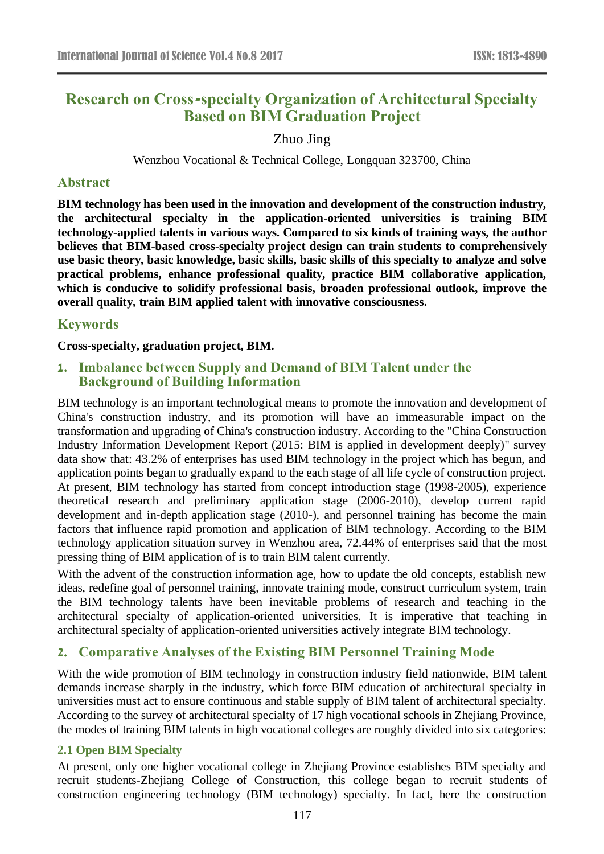# **Research on Cross-specialty Organization of Architectural Specialty Based on BIM Graduation Project**

Zhuo Jing

Wenzhou Vocational & Technical College, Longquan 323700, China

### **Abstract**

**BIM technology has been used in the innovation and development of the construction industry, the architectural specialty in the application-oriented universities is training BIM technology-applied talents in various ways. Compared to six kinds of training ways, the author believes that BIM-based cross-specialty project design can train students to comprehensively use basic theory, basic knowledge, basic skills, basic skills of this specialty to analyze and solve practical problems, enhance professional quality, practice BIM collaborative application, which is conducive to solidify professional basis, broaden professional outlook, improve the overall quality, train BIM applied talent with innovative consciousness.**

### **Keywords**

**Cross-specialty, graduation project, BIM.**

## **1. Imbalance between Supply and Demand of BIM Talent under the Background of Building Information**

BIM technology is an important technological means to promote the innovation and development of China's construction industry, and its promotion will have an immeasurable impact on the transformation and upgrading of China's construction industry. According to the "China Construction Industry Information Development Report (2015: BIM is applied in development deeply)" survey data show that: 43.2% of enterprises has used BIM technology in the project which has begun, and application points began to gradually expand to the each stage of all life cycle of construction project. At present, BIM technology has started from concept introduction stage (1998-2005), experience theoretical research and preliminary application stage (2006-2010), develop current rapid development and in-depth application stage (2010-), and personnel training has become the main factors that influence rapid promotion and application of BIM technology. According to the BIM technology application situation survey in Wenzhou area, 72.44% of enterprises said that the most pressing thing of BIM application of is to train BIM talent currently.

With the advent of the construction information age, how to update the old concepts, establish new ideas, redefine goal of personnel training, innovate training mode, construct curriculum system, train the BIM technology talents have been inevitable problems of research and teaching in the architectural specialty of application-oriented universities. It is imperative that teaching in architectural specialty of application-oriented universities actively integrate BIM technology.

## **2. Comparative Analyses of the Existing BIM Personnel Training Mode**

With the wide promotion of BIM technology in construction industry field nationwide, BIM talent demands increase sharply in the industry, which force BIM education of architectural specialty in universities must act to ensure continuous and stable supply of BIM talent of architectural specialty. According to the survey of architectural specialty of 17 high vocational schools in Zhejiang Province, the modes of training BIM talents in high vocational colleges are roughly divided into six categories:

### **2.1 Open BIM Specialty**

At present, only one higher vocational college in Zhejiang Province establishes BIM specialty and recruit students-Zhejiang College of Construction, this college began to recruit students of construction engineering technology (BIM technology) specialty. In fact, here the construction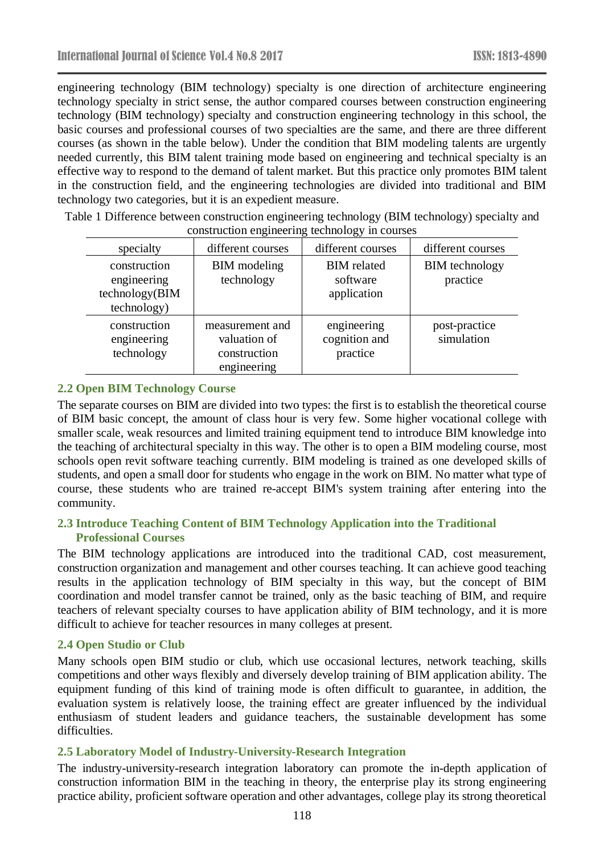engineering technology (BIM technology) specialty is one direction of architecture engineering technology specialty in strict sense, the author compared courses between construction engineering technology (BIM technology) specialty and construction engineering technology in this school, the basic courses and professional courses of two specialties are the same, and there are three different courses (as shown in the table below). Under the condition that BIM modeling talents are urgently needed currently, this BIM talent training mode based on engineering and technical specialty is an effective way to respond to the demand of talent market. But this practice only promotes BIM talent in the construction field, and the engineering technologies are divided into traditional and BIM technology two categories, but it is an expedient measure.

| construction engineering teenhology in courses               |                                                                |                                               |                                   |
|--------------------------------------------------------------|----------------------------------------------------------------|-----------------------------------------------|-----------------------------------|
| specialty                                                    | different courses                                              | different courses                             | different courses                 |
| construction<br>engineering<br>technology(BIM<br>technology) | <b>BIM</b> modeling<br>technology                              | <b>BIM</b> related<br>software<br>application | <b>BIM</b> technology<br>practice |
| construction<br>engineering<br>technology                    | measurement and<br>valuation of<br>construction<br>engineering | engineering<br>cognition and<br>practice      | post-practice<br>simulation       |

Table 1 Difference between construction engineering technology (BIM technology) specialty and construction engineering technology in courses

### **2.2 Open BIM Technology Course**

The separate courses on BIM are divided into two types: the first is to establish the theoretical course of BIM basic concept, the amount of class hour is very few. Some higher vocational college with smaller scale, weak resources and limited training equipment tend to introduce BIM knowledge into the teaching of architectural specialty in this way. The other is to open a BIM modeling course, most schools open revit software teaching currently. BIM modeling is trained as one developed skills of students, and open a small door for students who engage in the work on BIM. No matter what type of course, these students who are trained re-accept BIM's system training after entering into the community.

### **2.3 Introduce Teaching Content of BIM Technology Application into the Traditional Professional Courses**

The BIM technology applications are introduced into the traditional CAD, cost measurement, construction organization and management and other courses teaching. It can achieve good teaching results in the application technology of BIM specialty in this way, but the concept of BIM coordination and model transfer cannot be trained, only as the basic teaching of BIM, and require teachers of relevant specialty courses to have application ability of BIM technology, and it is more difficult to achieve for teacher resources in many colleges at present.

### **2.4 Open Studio or Club**

Many schools open BIM studio or club, which use occasional lectures, network teaching, skills competitions and other ways flexibly and diversely develop training of BIM application ability. The equipment funding of this kind of training mode is often difficult to guarantee, in addition, the evaluation system is relatively loose, the training effect are greater influenced by the individual enthusiasm of student leaders and guidance teachers, the sustainable development has some difficulties.

### **2.5 Laboratory Model of Industry-University-Research Integration**

The industry-university-research integration laboratory can promote the in-depth application of construction information BIM in the teaching in theory, the enterprise play its strong engineering practice ability, proficient software operation and other advantages, college play its strong theoretical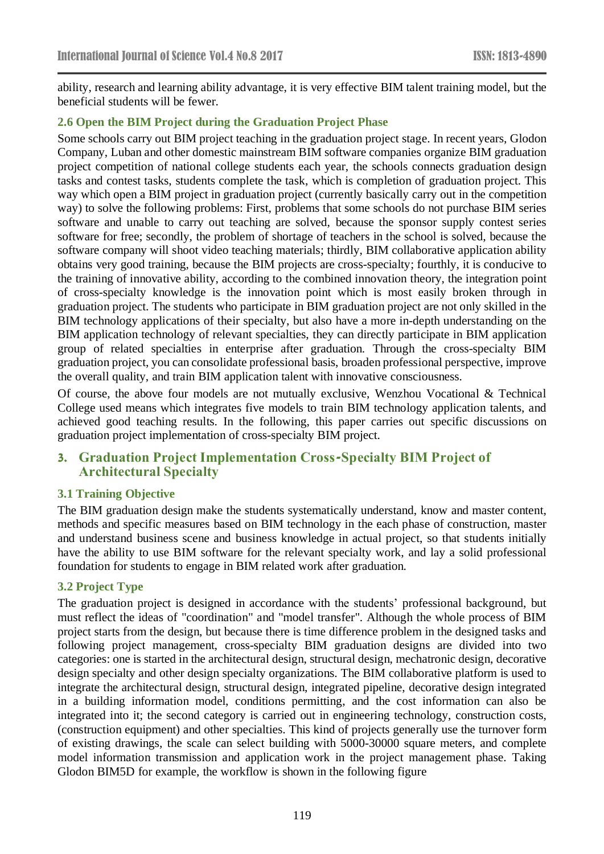ability, research and learning ability advantage, it is very effective BIM talent training model, but the beneficial students will be fewer.

### **2.6 Open the BIM Project during the Graduation Project Phase**

Some schools carry out BIM project teaching in the graduation project stage. In recent years, Glodon Company, Luban and other domestic mainstream BIM software companies organize BIM graduation project competition of national college students each year, the schools connects graduation design tasks and contest tasks, students complete the task, which is completion of graduation project. This way which open a BIM project in graduation project (currently basically carry out in the competition way) to solve the following problems: First, problems that some schools do not purchase BIM series software and unable to carry out teaching are solved, because the sponsor supply contest series software for free; secondly, the problem of shortage of teachers in the school is solved, because the software company will shoot video teaching materials; thirdly, BIM collaborative application ability obtains very good training, because the BIM projects are cross-specialty; fourthly, it is conducive to the training of innovative ability, according to the combined innovation theory, the integration point of cross-specialty knowledge is the innovation point which is most easily broken through in graduation project. The students who participate in BIM graduation project are not only skilled in the BIM technology applications of their specialty, but also have a more in-depth understanding on the BIM application technology of relevant specialties, they can directly participate in BIM application group of related specialties in enterprise after graduation. Through the cross-specialty BIM graduation project, you can consolidate professional basis, broaden professional perspective, improve the overall quality, and train BIM application talent with innovative consciousness.

Of course, the above four models are not mutually exclusive, Wenzhou Vocational & Technical College used means which integrates five models to train BIM technology application talents, and achieved good teaching results. In the following, this paper carries out specific discussions on graduation project implementation of cross-specialty BIM project.

## **3. Graduation Project Implementation Cross-Specialty BIM Project of Architectural Specialty**

### **3.1 Training Objective**

The BIM graduation design make the students systematically understand, know and master content, methods and specific measures based on BIM technology in the each phase of construction, master and understand business scene and business knowledge in actual project, so that students initially have the ability to use BIM software for the relevant specialty work, and lay a solid professional foundation for students to engage in BIM related work after graduation.

### **3.2 Project Type**

The graduation project is designed in accordance with the students' professional background, but must reflect the ideas of "coordination" and "model transfer". Although the whole process of BIM project starts from the design, but because there is time difference problem in the designed tasks and following project management, cross-specialty BIM graduation designs are divided into two categories: one is started in the architectural design, structural design, mechatronic design, decorative design specialty and other design specialty organizations. The BIM collaborative platform is used to integrate the architectural design, structural design, integrated pipeline, decorative design integrated in a building information model, conditions permitting, and the cost information can also be integrated into it; the second category is carried out in engineering technology, construction costs, (construction equipment) and other specialties. This kind of projects generally use the turnover form of existing drawings, the scale can select building with 5000-30000 square meters, and complete model information transmission and application work in the project management phase. Taking Glodon BIM5D for example, the workflow is shown in the following figure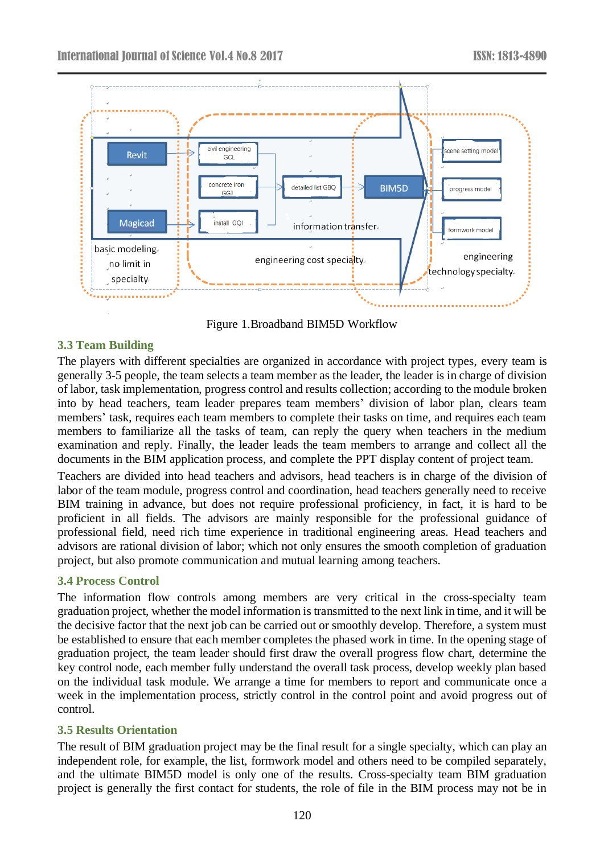

Figure 1.Broadband BIM5D Workflow

## **3.3 Team Building**

The players with different specialties are organized in accordance with project types, every team is generally 3-5 people, the team selects a team member as the leader, the leader is in charge of division of labor, task implementation, progress control and results collection; according to the module broken into by head teachers, team leader prepares team members' division of labor plan, clears team members' task, requires each team members to complete their tasks on time, and requires each team members to familiarize all the tasks of team, can reply the query when teachers in the medium examination and reply. Finally, the leader leads the team members to arrange and collect all the documents in the BIM application process, and complete the PPT display content of project team.

Teachers are divided into head teachers and advisors, head teachers is in charge of the division of labor of the team module, progress control and coordination, head teachers generally need to receive BIM training in advance, but does not require professional proficiency, in fact, it is hard to be proficient in all fields. The advisors are mainly responsible for the professional guidance of professional field, need rich time experience in traditional engineering areas. Head teachers and advisors are rational division of labor; which not only ensures the smooth completion of graduation project, but also promote communication and mutual learning among teachers.

## **3.4 Process Control**

The information flow controls among members are very critical in the cross-specialty team graduation project, whether the model information is transmitted to the next link in time, and it will be the decisive factor that the next job can be carried out or smoothly develop. Therefore, a system must be established to ensure that each member completes the phased work in time. In the opening stage of graduation project, the team leader should first draw the overall progress flow chart, determine the key control node, each member fully understand the overall task process, develop weekly plan based on the individual task module. We arrange a time for members to report and communicate once a week in the implementation process, strictly control in the control point and avoid progress out of control.

### **3.5 Results Orientation**

The result of BIM graduation project may be the final result for a single specialty, which can play an independent role, for example, the list, formwork model and others need to be compiled separately, and the ultimate BIM5D model is only one of the results. Cross-specialty team BIM graduation project is generally the first contact for students, the role of file in the BIM process may not be in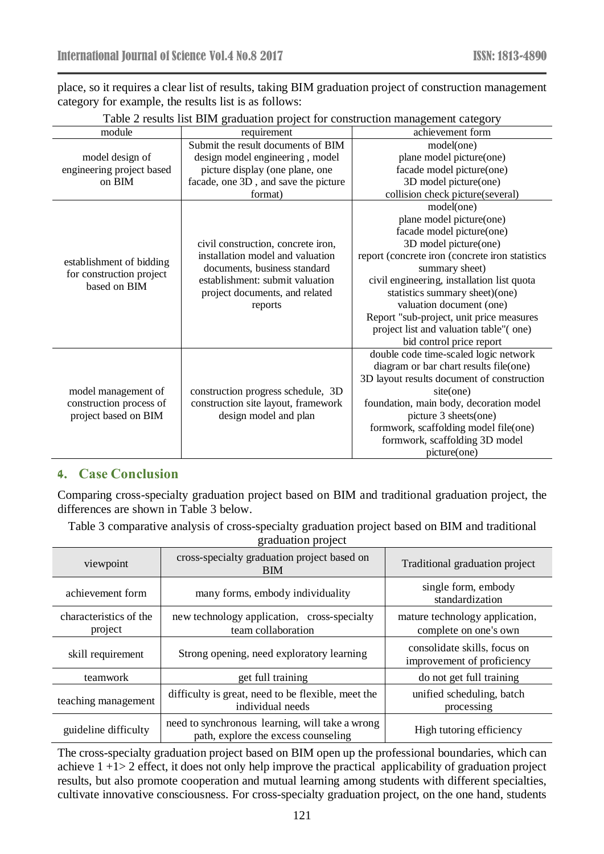place, so it requires a clear list of results, taking BIM graduation project of construction management category for example, the results list is as follows:

| module                    | requirement                          | achievement form                                |  |
|---------------------------|--------------------------------------|-------------------------------------------------|--|
|                           | Submit the result documents of BIM   | model(one)                                      |  |
| model design of           | design model engineering, model      | plane model picture(one)                        |  |
| engineering project based | picture display (one plane, one      | facade model picture(one)                       |  |
| on BIM                    | facade, one 3D, and save the picture | 3D model picture(one)                           |  |
|                           | format)                              | collision check picture(several)                |  |
|                           |                                      | model(one)                                      |  |
|                           |                                      | plane model picture(one)                        |  |
|                           |                                      | facade model picture(one)                       |  |
|                           | civil construction, concrete iron,   | 3D model picture(one)                           |  |
| establishment of bidding  | installation model and valuation     | report (concrete iron (concrete iron statistics |  |
| for construction project  | documents, business standard         | summary sheet)                                  |  |
| based on BIM              | establishment: submit valuation      | civil engineering, installation list quota      |  |
|                           | project documents, and related       | statistics summary sheet)(one)                  |  |
|                           | reports                              | valuation document (one)                        |  |
|                           |                                      | Report "sub-project, unit price measures        |  |
|                           |                                      | project list and valuation table"(one)          |  |
|                           |                                      | bid control price report                        |  |
|                           |                                      | double code time-scaled logic network           |  |
|                           |                                      | diagram or bar chart results file(one)          |  |
|                           |                                      | 3D layout results document of construction      |  |
| model management of       | construction progress schedule, 3D   | site(one)                                       |  |
| construction process of   | construction site layout, framework  | foundation, main body, decoration model         |  |
| project based on BIM      | design model and plan                | picture 3 sheets(one)                           |  |
|                           |                                      | formwork, scaffolding model file(one)           |  |
|                           |                                      | formwork, scaffolding 3D model                  |  |
|                           |                                      | picture(one)                                    |  |

| Table 2 results list BIM graduation project for construction management category |  |  |  |  |
|----------------------------------------------------------------------------------|--|--|--|--|
|----------------------------------------------------------------------------------|--|--|--|--|

## **4. Case Conclusion**

Comparing cross-specialty graduation project based on BIM and traditional graduation project, the differences are shown in Table 3 below.

Table 3 comparative analysis of cross-specialty graduation project based on BIM and traditional

| graduation project |  |
|--------------------|--|
|                    |  |
|                    |  |

| viewpoint                         | cross-specialty graduation project based on<br><b>BIM</b>                              | Traditional graduation project                             |
|-----------------------------------|----------------------------------------------------------------------------------------|------------------------------------------------------------|
| achievement form                  | many forms, embody individuality                                                       | single form, embody<br>standardization                     |
| characteristics of the<br>project | new technology application, cross-specialty<br>team collaboration                      | mature technology application,<br>complete on one's own    |
| skill requirement                 | Strong opening, need exploratory learning                                              | consolidate skills, focus on<br>improvement of proficiency |
| teamwork                          | get full training                                                                      | do not get full training                                   |
| teaching management               | difficulty is great, need to be flexible, meet the<br>individual needs                 | unified scheduling, batch<br>processing                    |
| guideline difficulty              | need to synchronous learning, will take a wrong<br>path, explore the excess counseling | High tutoring efficiency                                   |

The cross-specialty graduation project based on BIM open up the professional boundaries, which can achieve 1 +1> 2 effect, it does not only help improve the practical applicability of graduation project results, but also promote cooperation and mutual learning among students with different specialties, cultivate innovative consciousness. For cross-specialty graduation project, on the one hand, students